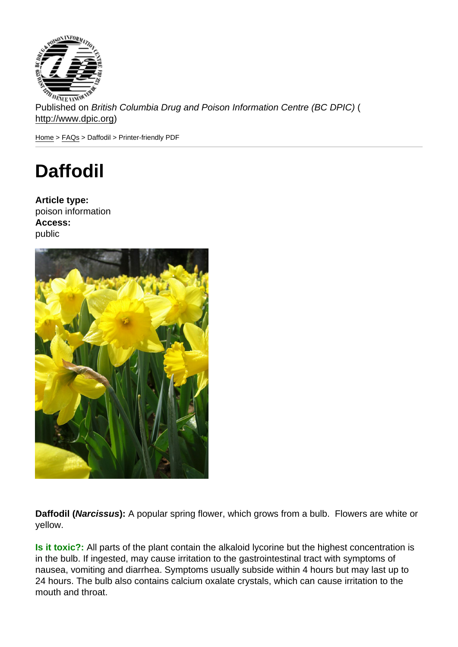Published on British Columbia Drug and Poison Information Centre (BC DPIC) ( http://www.dpic.org)

Home > FAQs > Daffodil > Printer-friendly PDF

## [Da](http://www.dpic.org/)[ffo](http://www.dpic.org/faq)dil

Article type: poison information Access: public

Daffodil ( Narcissus ): A popular spring flower, which grows from a bulb. Flowers are white or yellow.

Is it toxic?: All parts of the plant contain the alkaloid lycorine but the highest concentration is in the bulb. If ingested, may cause irritation to the gastrointestinal tract with symptoms of nausea, vomiting and diarrhea. Symptoms usually subside within 4 hours but may last up to 24 hours. The bulb also contains calcium oxalate crystals, which can cause irritation to the mouth and throat.